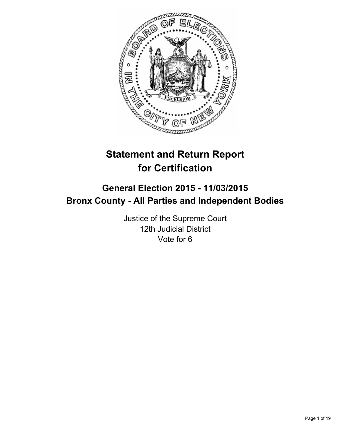

# **Statement and Return Report for Certification**

# **General Election 2015 - 11/03/2015 Bronx County - All Parties and Independent Bodies**

Justice of the Supreme Court 12th Judicial District Vote for 6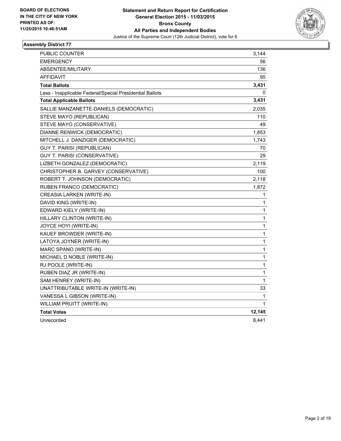

| <b>PUBLIC COUNTER</b>                                    | 3,144        |
|----------------------------------------------------------|--------------|
| <b>EMERGENCY</b>                                         | 56           |
| ABSENTEE/MILITARY                                        | 136          |
| <b>AFFIDAVIT</b>                                         | 95           |
| <b>Total Ballots</b>                                     | 3,431        |
| Less - Inapplicable Federal/Special Presidential Ballots | 0            |
| <b>Total Applicable Ballots</b>                          | 3,431        |
| SALLIE MANZANETTE-DANIELS (DEMOCRATIC)                   | 2,035        |
| STEVE MAYO (REPUBLICAN)                                  | 110          |
| STEVE MAYO (CONSERVATIVE)                                | 49           |
| DIANNE RENWICK (DEMOCRATIC)                              | 1,853        |
| MITCHELL J. DANZIGER (DEMOCRATIC)                        | 1,743        |
| GUY T. PARISI (REPUBLICAN)                               | 70           |
| <b>GUY T. PARISI (CONSERVATIVE)</b>                      | 29           |
| LIZBETH GONZALEZ (DEMOCRATIC)                            | 2,119        |
| CHRISTOPHER B. GARVEY (CONSERVATIVE)                     | 100          |
| ROBERT T. JOHNSON (DEMOCRATIC)                           | 2,118        |
| RUBEN FRANCO (DEMOCRATIC)                                | 1,872        |
| <b>CREASIA LARKEN (WRITE-IN)</b>                         | 1            |
| DAVID KING (WRITE-IN)                                    | 1            |
| EDWARD KIELY (WRITE-IN)                                  | 1            |
| HILLARY CLINTON (WRITE-IN)                               | 1            |
| JOYCE HOYI (WRITE-IN)                                    | $\mathbf{1}$ |
| KAUEF BROWDER (WRITE-IN)                                 | 1            |
| LATOYA JOYNER (WRITE-IN)                                 | 1            |
| MARC SPANO (WRITE-IN)                                    | 1            |
| MICHAEL D NOBLE (WRITE-IN)                               | 1            |
| RJ POOLE (WRITE-IN)                                      | 1            |
| RUBEN DIAZ JR (WRITE-IN)                                 | 1            |
| SAM HENREY (WRITE-IN)                                    | 1            |
| UNATTRIBUTABLE WRITE-IN (WRITE-IN)                       | 33           |
| VANESSA L GIBSON (WRITE-IN)                              | 1            |
| WILLIAM PRUITT (WRITE-IN)                                | 1            |
| <b>Total Votes</b>                                       | 12,145       |
| Unrecorded                                               | 8,441        |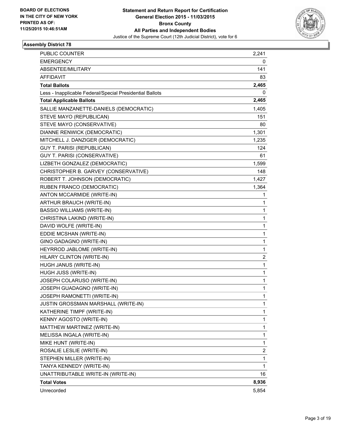

| <b>PUBLIC COUNTER</b>                                    | 2,241 |
|----------------------------------------------------------|-------|
| <b>EMERGENCY</b>                                         | 0     |
| ABSENTEE/MILITARY                                        | 141   |
| <b>AFFIDAVIT</b>                                         | 83    |
| <b>Total Ballots</b>                                     | 2,465 |
| Less - Inapplicable Federal/Special Presidential Ballots | 0     |
| <b>Total Applicable Ballots</b>                          | 2,465 |
| SALLIE MANZANETTE-DANIELS (DEMOCRATIC)                   | 1,405 |
| STEVE MAYO (REPUBLICAN)                                  | 151   |
| STEVE MAYO (CONSERVATIVE)                                | 80    |
| DIANNE RENWICK (DEMOCRATIC)                              | 1,301 |
| MITCHELL J. DANZIGER (DEMOCRATIC)                        | 1,235 |
| GUY T. PARISI (REPUBLICAN)                               | 124   |
| GUY T. PARISI (CONSERVATIVE)                             | 61    |
| LIZBETH GONZALEZ (DEMOCRATIC)                            | 1,599 |
| CHRISTOPHER B. GARVEY (CONSERVATIVE)                     | 148   |
| ROBERT T. JOHNSON (DEMOCRATIC)                           | 1,427 |
| RUBEN FRANCO (DEMOCRATIC)                                | 1,364 |
| ANTON MCCARMIDE (WRITE-IN)                               | 1     |
| ARTHUR BRAUCH (WRITE-IN)                                 | 1     |
| <b>BASSIO WILLIAMS (WRITE-IN)</b>                        | 1     |
| CHRISTINA LAKIND (WRITE-IN)                              | 1     |
| DAVID WOLFE (WRITE-IN)                                   | 1     |
| EDDIE MCSHAN (WRITE-IN)                                  | 1     |
| GINO GADAGNO (WRITE-IN)                                  | 1     |
| HEYRROD JABLOME (WRITE-IN)                               | 1     |
| HILARY CLINTON (WRITE-IN)                                | 2     |
| HUGH JANUS (WRITE-IN)                                    | 1     |
| HUGH JUSS (WRITE-IN)                                     | 1     |
| JOSEPH COLARUSO (WRITE-IN)                               | 1     |
| JOSEPH GUADAGNO (WRITE-IN)                               | 1     |
| JOSEPH RAMONETTI (WRITE-IN)                              | 1     |
| JUSTIN GROSSMAN MARSHALL (WRITE-IN)                      | 1     |
| KATHERINE TIMPF (WRITE-IN)                               | 1     |
| KENNY AGOSTO (WRITE-IN)                                  | 1     |
| MATTHEW MARTINEZ (WRITE-IN)                              | 1     |
| MELISSA INGALA (WRITE-IN)                                | 1     |
| MIKE HUNT (WRITE-IN)                                     | 1     |
| ROSALIE LESLIE (WRITE-IN)                                | 2     |
| STEPHEN MILLER (WRITE-IN)                                | 1     |
| TANYA KENNEDY (WRITE-IN)                                 | 1     |
| UNATTRIBUTABLE WRITE-IN (WRITE-IN)                       | 16    |
| <b>Total Votes</b>                                       | 8,936 |
| Unrecorded                                               | 5,854 |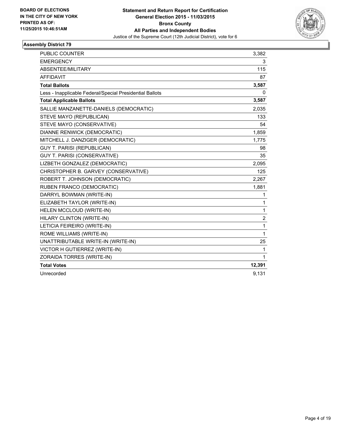

| <b>PUBLIC COUNTER</b>                                    | 3,382        |
|----------------------------------------------------------|--------------|
| <b>EMERGENCY</b>                                         | 3            |
| ABSENTEE/MILITARY                                        | 115          |
| <b>AFFIDAVIT</b>                                         | 87           |
| <b>Total Ballots</b>                                     | 3,587        |
| Less - Inapplicable Federal/Special Presidential Ballots | 0            |
| <b>Total Applicable Ballots</b>                          | 3,587        |
| SALLIE MANZANETTE-DANIELS (DEMOCRATIC)                   | 2,035        |
| STEVE MAYO (REPUBLICAN)                                  | 133          |
| STEVE MAYO (CONSERVATIVE)                                | 54           |
| DIANNE RENWICK (DEMOCRATIC)                              | 1,859        |
| MITCHELL J. DANZIGER (DEMOCRATIC)                        | 1,775        |
| <b>GUY T. PARISI (REPUBLICAN)</b>                        | 98           |
| <b>GUY T. PARISI (CONSERVATIVE)</b>                      | 35           |
| LIZBETH GONZALEZ (DEMOCRATIC)                            | 2,095        |
| CHRISTOPHER B. GARVEY (CONSERVATIVE)                     | 125          |
| ROBERT T. JOHNSON (DEMOCRATIC)                           | 2,267        |
| RUBEN FRANCO (DEMOCRATIC)                                | 1,881        |
| DARRYL BOWMAN (WRITE-IN)                                 | 1            |
| ELIZABETH TAYLOR (WRITE-IN)                              | 1            |
| HELEN MCCLOUD (WRITE-IN)                                 | 1            |
| HILARY CLINTON (WRITE-IN)                                | 2            |
| LETICIA FEIREIRO (WRITE-IN)                              | 1            |
| ROME WILLIAMS (WRITE-IN)                                 | $\mathbf{1}$ |
| UNATTRIBUTABLE WRITE-IN (WRITE-IN)                       | 25           |
| VICTOR H GUTIERREZ (WRITE-IN)                            | 1            |
| ZORAIDA TORRES (WRITE-IN)                                | 1            |
| <b>Total Votes</b>                                       | 12,391       |
| Unrecorded                                               | 9,131        |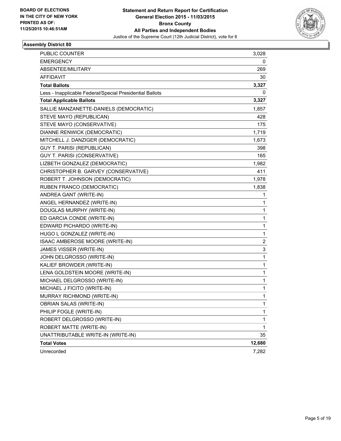

| <b>PUBLIC COUNTER</b>                                    | 3,028        |
|----------------------------------------------------------|--------------|
| <b>EMERGENCY</b>                                         | 0            |
| ABSENTEE/MILITARY                                        | 269          |
| <b>AFFIDAVIT</b>                                         | 30           |
| <b>Total Ballots</b>                                     | 3,327        |
| Less - Inapplicable Federal/Special Presidential Ballots | 0            |
| <b>Total Applicable Ballots</b>                          | 3,327        |
| SALLIE MANZANETTE-DANIELS (DEMOCRATIC)                   | 1,857        |
| STEVE MAYO (REPUBLICAN)                                  | 428          |
| STEVE MAYO (CONSERVATIVE)                                | 175          |
| DIANNE RENWICK (DEMOCRATIC)                              | 1,719        |
| MITCHELL J. DANZIGER (DEMOCRATIC)                        | 1,673        |
| GUY T. PARISI (REPUBLICAN)                               | 398          |
| <b>GUY T. PARISI (CONSERVATIVE)</b>                      | 165          |
| LIZBETH GONZALEZ (DEMOCRATIC)                            | 1,982        |
| CHRISTOPHER B. GARVEY (CONSERVATIVE)                     | 411          |
| ROBERT T. JOHNSON (DEMOCRATIC)                           | 1,978        |
| RUBEN FRANCO (DEMOCRATIC)                                | 1,838        |
| ANDREA GANT (WRITE-IN)                                   | 1            |
| ANGEL HERNANDEZ (WRITE-IN)                               | 1            |
| DOUGLAS MURPHY (WRITE-IN)                                | 1            |
| ED GARCIA CONDE (WRITE-IN)                               | 1            |
| EDWARD PICHARDO (WRITE-IN)                               | 1            |
| HUGO L GONZALEZ (WRITE-IN)                               | 1            |
| ISAAC AMBEROSE MOORE (WRITE-IN)                          | 2            |
| JAMES VISSER (WRITE-IN)                                  | 3            |
| JOHN DELGROSSO (WRITE-IN)                                | 1            |
| KALIEF BROWDER (WRITE-IN)                                | 1            |
| LENA GOLDSTEIN MOORE (WRITE-IN)                          | 1            |
| MICHAEL DELGROSSO (WRITE-IN)                             | 1            |
| MICHAEL J FICITO (WRITE-IN)                              | 1            |
| MURRAY RICHMOND (WRITE-IN)                               | 1            |
| OBRIAN SALAS (WRITE-IN)                                  | 1            |
| PHILIP FOGLE (WRITE-IN)                                  | 1            |
| ROBERT DELGROSSO (WRITE-IN)                              | 1            |
| ROBERT MATTE (WRITE-IN)                                  | $\mathbf{1}$ |
| UNATTRIBUTABLE WRITE-IN (WRITE-IN)                       | 35           |
| <b>Total Votes</b>                                       | 12,680       |
| Unrecorded                                               | 7,282        |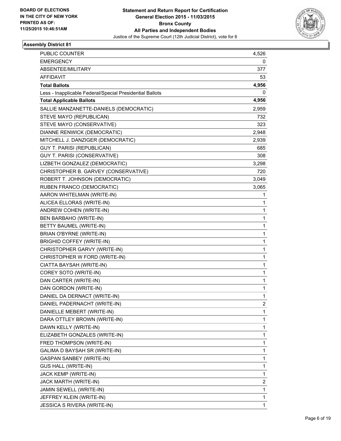

| <b>PUBLIC COUNTER</b>                                    | 4,526        |
|----------------------------------------------------------|--------------|
| <b>EMERGENCY</b>                                         | 0            |
| ABSENTEE/MILITARY                                        | 377          |
| <b>AFFIDAVIT</b>                                         | 53           |
| <b>Total Ballots</b>                                     | 4,956        |
| Less - Inapplicable Federal/Special Presidential Ballots | 0            |
| <b>Total Applicable Ballots</b>                          | 4,956        |
| SALLIE MANZANETTE-DANIELS (DEMOCRATIC)                   | 2,959        |
| STEVE MAYO (REPUBLICAN)                                  | 732          |
| STEVE MAYO (CONSERVATIVE)                                | 323          |
| DIANNE RENWICK (DEMOCRATIC)                              | 2,948        |
| MITCHELL J. DANZIGER (DEMOCRATIC)                        | 2,939        |
| GUY T. PARISI (REPUBLICAN)                               | 685          |
| GUY T. PARISI (CONSERVATIVE)                             | 308          |
| LIZBETH GONZALEZ (DEMOCRATIC)                            | 3,298        |
| CHRISTOPHER B. GARVEY (CONSERVATIVE)                     | 720          |
| ROBERT T. JOHNSON (DEMOCRATIC)                           | 3,049        |
| RUBEN FRANCO (DEMOCRATIC)                                | 3,065        |
| AARON WHITELMAN (WRITE-IN)                               | 1            |
| ALICEA ELLORAS (WRITE-IN)                                | 1            |
| ANDREW COHEN (WRITE-IN)                                  | 1            |
| BEN BARBAHO (WRITE-IN)                                   | 1            |
| BETTY BAUMEL (WRITE-IN)                                  | 1            |
| BRIAN O'BYRNE (WRITE-IN)                                 | 1            |
| <b>BRIGHID COFFEY (WRITE-IN)</b>                         | 1            |
| CHRISTOPHER GARVY (WRITE-IN)                             | 1            |
| CHRISTOPHER W FORD (WRITE-IN)                            | 1            |
| CIATTA BAYSAH (WRITE-IN)                                 | 1            |
| COREY SOTO (WRITE-IN)                                    | 1            |
| DAN CARTER (WRITE-IN)                                    | 1            |
| DAN GORDON (WRITE-IN)                                    | 1            |
| DANIEL DA DERNACT (WRITE-IN)                             | 1            |
| DANIEL PADERNACHT (WRITE-IN)                             | 2            |
| DANIELLE MEBERT (WRITE-IN)                               | 1            |
| DARA OTTLEY BROWN (WRITE-IN)                             | 1            |
| DAWN KELLY (WRITE-IN)                                    | 1            |
| ELIZABETH GONZALES (WRITE-IN)                            | 1            |
| FRED THOMPSON (WRITE-IN)                                 | 1            |
| GALIMA D BAYSAH SR (WRITE-IN)                            | 1            |
| <b>GASPAN SANBEY (WRITE-IN)</b>                          | 1            |
| <b>GUS HALL (WRITE-IN)</b>                               | 1            |
| JACK KEMP (WRITE-IN)                                     | 1            |
| JACK MARTH (WRITE-IN)                                    | 2            |
| JAMIN SEWELL (WRITE-IN)                                  | 1            |
| JEFFREY KLEIN (WRITE-IN)                                 | 1            |
| <b>JESSICA S RIVERA (WRITE-IN)</b>                       | $\mathbf{1}$ |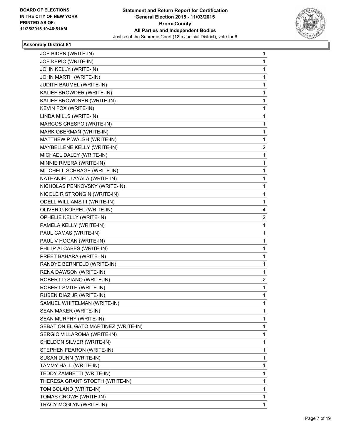

| JOE BIDEN (WRITE-IN)                 | 1                       |
|--------------------------------------|-------------------------|
| JOE KEPIC (WRITE-IN)                 | 1                       |
| JOHN KELLY (WRITE-IN)                | 1                       |
| JOHN MARTH (WRITE-IN)                | $\mathbf{1}$            |
| JUDITH BAUMEL (WRITE-IN)             | 1                       |
| KALIEF BROWDER (WRITE-IN)            | 1                       |
| KALIEF BROWDNER (WRITE-IN)           | 1                       |
| KEVIN FOX (WRITE-IN)                 | 1                       |
| LINDA MILLS (WRITE-IN)               | 1                       |
| MARCOS CRESPO (WRITE-IN)             | $\mathbf{1}$            |
| MARK OBERMAN (WRITE-IN)              | 1                       |
| MATTHEW P WALSH (WRITE-IN)           | 1                       |
| MAYBELLENE KELLY (WRITE-IN)          | $\overline{c}$          |
| MICHAEL DALEY (WRITE-IN)             | 1                       |
| MINNIE RIVERA (WRITE-IN)             | 1                       |
| MITCHELL SCHRAGE (WRITE-IN)          | $\mathbf{1}$            |
| NATHANIEL J AYALA (WRITE-IN)         | 1                       |
| NICHOLAS PENKOVSKY (WRITE-IN)        | 1                       |
| NICOLE R STRONGIN (WRITE-IN)         | 1                       |
| ODELL WILLIAMS III (WRITE-IN)        | 1                       |
| OLIVER G KOPPEL (WRITE-IN)           | 4                       |
| OPHELIE KELLY (WRITE-IN)             | $\overline{\mathbf{c}}$ |
| PAMELA KELLY (WRITE-IN)              | 1                       |
| PAUL CAMAS (WRITE-IN)                | 1                       |
| PAUL V HOGAN (WRITE-IN)              | 1                       |
| PHILIP ALCABES (WRITE-IN)            | 1                       |
| PREET BAHARA (WRITE-IN)              | 1                       |
| RANDYE BERNFELD (WRITE-IN)           | $\mathbf{1}$            |
| RENA DAWSON (WRITE-IN)               | 1                       |
| ROBERT D SIANO (WRITE-IN)            | 2                       |
| ROBERT SMITH (WRITE-IN)              | 1                       |
| RUBEN DIAZ JR (WRITE-IN)             | 1                       |
| SAMUEL WHITELMAN (WRITE-IN)          | 1                       |
| SEAN MAKER (WRITE-IN)                | 1                       |
| SEAN MURPHY (WRITE-IN)               | 1                       |
| SEBATION EL GATO MARTINEZ (WRITE-IN) | 1                       |
| SERGIO VILLAROMA (WRITE-IN)          | 1                       |
| SHELDON SILVER (WRITE-IN)            | 1                       |
| STEPHEN FEARON (WRITE-IN)            | 1                       |
| SUSAN DUNN (WRITE-IN)                | 1                       |
| TAMMY HALL (WRITE-IN)                | 1                       |
| TEDDY ZAMBETTI (WRITE-IN)            | 1                       |
| THERESA GRANT STOETH (WRITE-IN)      | 1                       |
| TOM BOLAND (WRITE-IN)                | 1                       |
| TOMAS CROWE (WRITE-IN)               | $\mathbf{1}$            |
| TRACY MCGLYN (WRITE-IN)              | 1                       |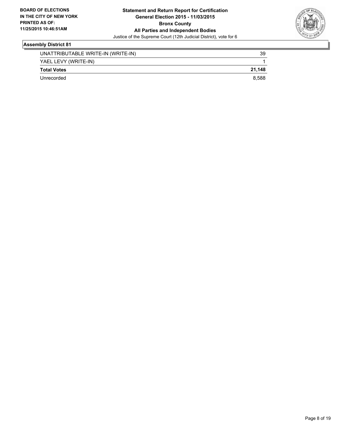

| UNATTRIBUTABLE WRITE-IN (WRITE-IN) | 39     |
|------------------------------------|--------|
| YAEL LEVY (WRITE-IN)               |        |
| <b>Total Votes</b>                 | 21.148 |
| Unrecorded                         | 8.588  |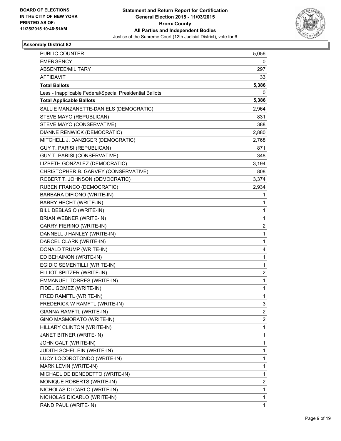

| <b>PUBLIC COUNTER</b>                                    | 5,056 |
|----------------------------------------------------------|-------|
| <b>EMERGENCY</b>                                         | 0     |
| ABSENTEE/MILITARY                                        | 297   |
| <b>AFFIDAVIT</b>                                         | 33    |
| <b>Total Ballots</b>                                     | 5,386 |
| Less - Inapplicable Federal/Special Presidential Ballots | 0     |
| <b>Total Applicable Ballots</b>                          | 5,386 |
| SALLIE MANZANETTE-DANIELS (DEMOCRATIC)                   | 2,964 |
| STEVE MAYO (REPUBLICAN)                                  | 831   |
| STEVE MAYO (CONSERVATIVE)                                | 388   |
| DIANNE RENWICK (DEMOCRATIC)                              | 2,880 |
| MITCHELL J. DANZIGER (DEMOCRATIC)                        | 2,768 |
| GUY T. PARISI (REPUBLICAN)                               | 871   |
| GUY T. PARISI (CONSERVATIVE)                             | 348   |
| LIZBETH GONZALEZ (DEMOCRATIC)                            | 3,194 |
| CHRISTOPHER B. GARVEY (CONSERVATIVE)                     | 808   |
| ROBERT T. JOHNSON (DEMOCRATIC)                           | 3,374 |
| RUBEN FRANCO (DEMOCRATIC)                                | 2,934 |
| BARBARA DIFIONO (WRITE-IN)                               | 1     |
| <b>BARRY HECHT (WRITE-IN)</b>                            | 1     |
| BILL DEBLASIO (WRITE-IN)                                 | 1     |
| BRIAN WEBNER (WRITE-IN)                                  | 1     |
| CARRY FIERINO (WRITE-IN)                                 | 2     |
| DANNELL J HANLEY (WRITE-IN)                              | 1     |
| DARCEL CLARK (WRITE-IN)                                  | 1     |
| DONALD TRUMP (WRITE-IN)                                  | 4     |
| ED BEHAINON (WRITE-IN)                                   | 1     |
| EGIDIO SEMENTILLI (WRITE-IN)                             | 1     |
| ELLIOT SPITZER (WRITE-IN)                                | 2     |
| <b>EMMANUEL TORRES (WRITE-IN)</b>                        | 1     |
| FIDEL GOMEZ (WRITE-IN)                                   | 1     |
| FRED RAMFTL (WRITE-IN)                                   | 1     |
| FREDERICK W RAMFTL (WRITE-IN)                            | 3     |
| GIANNA RAMFTL (WRITE-IN)                                 | 2     |
| GINO MASMORATO (WRITE-IN)                                | 2     |
| HILLARY CLINTON (WRITE-IN)                               | 1     |
| JANET BITNER (WRITE-IN)                                  | 1     |
| JOHN GALT (WRITE-IN)                                     | 1     |
| JUDITH SCHEILEIN (WRITE-IN)                              | 1     |
| LUCY LOCOROTONDO (WRITE-IN)                              | 1     |
| MARK LEVIN (WRITE-IN)                                    | 1     |
| MICHAEL DE BENEDETTO (WRITE-IN)                          | 1     |
| MONIQUE ROBERTS (WRITE-IN)                               | 2     |
| NICHOLAS DI CARLO (WRITE-IN)                             | 1     |
| NICHOLAS DICARLO (WRITE-IN)                              | 1     |
| RAND PAUL (WRITE-IN)                                     | 1     |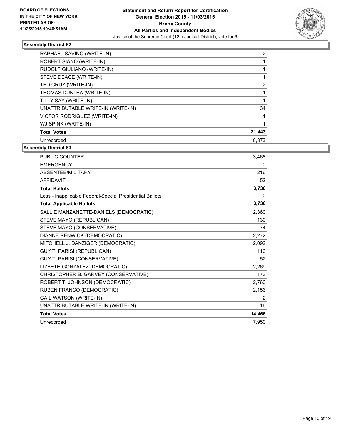

| RAPHAEL SAVINO (WRITE-IN)          | $\mathbf{2}^{\prime}$ |
|------------------------------------|-----------------------|
| ROBERT SIANO (WRITE-IN)            |                       |
| RUDOLF GIULIANO (WRITE-IN)         |                       |
| STEVE DEACE (WRITE-IN)             |                       |
| TED CRUZ (WRITE-IN)                | 2                     |
| THOMAS DUNLEA (WRITE-IN)           |                       |
| TILLY SAY (WRITE-IN)               |                       |
| UNATTRIBUTABLE WRITE-IN (WRITE-IN) | 34                    |
| VICTOR RODRIGUEZ (WRITE-IN)        |                       |
| WJ SPINK (WRITE-IN)                |                       |
| <b>Total Votes</b>                 | 21,443                |
| Unrecorded                         | 10.873                |

| <b>PUBLIC COUNTER</b>                                    | 3,468  |
|----------------------------------------------------------|--------|
| <b>EMERGENCY</b>                                         | 0      |
| ABSENTEE/MILITARY                                        | 216    |
| <b>AFFIDAVIT</b>                                         | 52     |
| <b>Total Ballots</b>                                     | 3,736  |
| Less - Inapplicable Federal/Special Presidential Ballots | 0      |
| <b>Total Applicable Ballots</b>                          | 3,736  |
| SALLIE MANZANETTE-DANIELS (DEMOCRATIC)                   | 2,360  |
| STEVE MAYO (REPUBLICAN)                                  | 130    |
| STEVE MAYO (CONSERVATIVE)                                | 74     |
| <b>DIANNE RENWICK (DEMOCRATIC)</b>                       | 2,272  |
| MITCHELL J. DANZIGER (DEMOCRATIC)                        | 2,092  |
| GUY T. PARISI (REPUBLICAN)                               | 110    |
| <b>GUY T. PARISI (CONSERVATIVE)</b>                      | 52     |
| LIZBETH GONZALEZ (DEMOCRATIC)                            | 2,269  |
| CHRISTOPHER B. GARVEY (CONSERVATIVE)                     | 173    |
| ROBERT T. JOHNSON (DEMOCRATIC)                           | 2,760  |
| RUBEN FRANCO (DEMOCRATIC)                                | 2,156  |
| <b>GAIL WATSON (WRITE-IN)</b>                            | 2      |
| UNATTRIBUTABLE WRITE-IN (WRITE-IN)                       | 16     |
| <b>Total Votes</b>                                       | 14,466 |
| Unrecorded                                               | 7,950  |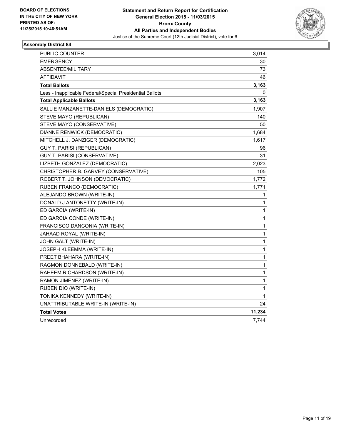

| <b>PUBLIC COUNTER</b>                                    | 3,014  |
|----------------------------------------------------------|--------|
| <b>EMERGENCY</b>                                         | 30     |
| <b>ABSENTEE/MILITARY</b>                                 | 73     |
| AFFIDAVIT                                                | 46     |
| <b>Total Ballots</b>                                     | 3,163  |
| Less - Inapplicable Federal/Special Presidential Ballots | 0      |
| <b>Total Applicable Ballots</b>                          | 3,163  |
| SALLIE MANZANETTE-DANIELS (DEMOCRATIC)                   | 1,907  |
| STEVE MAYO (REPUBLICAN)                                  | 140    |
| STEVE MAYO (CONSERVATIVE)                                | 50     |
| DIANNE RENWICK (DEMOCRATIC)                              | 1,684  |
| MITCHELL J. DANZIGER (DEMOCRATIC)                        | 1,617  |
| <b>GUY T. PARISI (REPUBLICAN)</b>                        | 96     |
| <b>GUY T. PARISI (CONSERVATIVE)</b>                      | 31     |
| LIZBETH GONZALEZ (DEMOCRATIC)                            | 2,023  |
| CHRISTOPHER B. GARVEY (CONSERVATIVE)                     | 105    |
| ROBERT T. JOHNSON (DEMOCRATIC)                           | 1,772  |
| RUBEN FRANCO (DEMOCRATIC)                                | 1,771  |
| ALEJANDO BROWN (WRITE-IN)                                | 1      |
| DONALD J ANTONETTY (WRITE-IN)                            | 1      |
| ED GARCIA (WRITE-IN)                                     | 1      |
| ED GARCIA CONDE (WRITE-IN)                               | 1      |
| FRANCISCO DANCONIA (WRITE-IN)                            | 1      |
| JAHAAD ROYAL (WRITE-IN)                                  | 1      |
| JOHN GALT (WRITE-IN)                                     | 1      |
| JOSEPH KLEEMMA (WRITE-IN)                                | 1      |
| PREET BHAHARA (WRITE-IN)                                 | 1      |
| RAGMON DONNEBALD (WRITE-IN)                              | 1      |
| RAHEEM RICHARDSON (WRITE-IN)                             | 1      |
| RAMON JIMENEZ (WRITE-IN)                                 | 1      |
| RUBEN DIO (WRITE-IN)                                     | 1      |
| TONIKA KENNEDY (WRITE-IN)                                | 1      |
| UNATTRIBUTABLE WRITE-IN (WRITE-IN)                       | 24     |
| <b>Total Votes</b>                                       | 11,234 |
| Unrecorded                                               | 7,744  |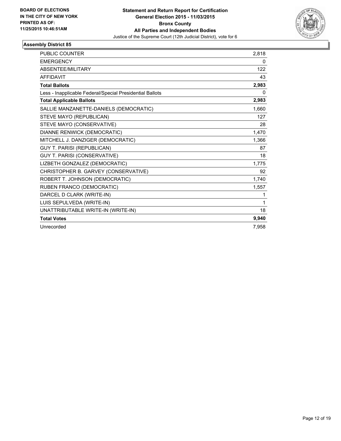

| <b>PUBLIC COUNTER</b>                                    | 2,818 |
|----------------------------------------------------------|-------|
| <b>EMERGENCY</b>                                         | 0     |
| <b>ABSENTEE/MILITARY</b>                                 | 122   |
| <b>AFFIDAVIT</b>                                         | 43    |
| <b>Total Ballots</b>                                     | 2,983 |
| Less - Inapplicable Federal/Special Presidential Ballots | 0     |
| <b>Total Applicable Ballots</b>                          | 2,983 |
| SALLIE MANZANETTE-DANIELS (DEMOCRATIC)                   | 1,660 |
| STEVE MAYO (REPUBLICAN)                                  | 127   |
| STEVE MAYO (CONSERVATIVE)                                | 28    |
| DIANNE RENWICK (DEMOCRATIC)                              | 1,470 |
| MITCHELL J. DANZIGER (DEMOCRATIC)                        | 1,366 |
| <b>GUY T. PARISI (REPUBLICAN)</b>                        | 87    |
| GUY T. PARISI (CONSERVATIVE)                             | 18    |
| LIZBETH GONZALEZ (DEMOCRATIC)                            | 1,775 |
| CHRISTOPHER B. GARVEY (CONSERVATIVE)                     | 92    |
| ROBERT T. JOHNSON (DEMOCRATIC)                           | 1,740 |
| RUBEN FRANCO (DEMOCRATIC)                                | 1,557 |
| DARCEL D CLARK (WRITE-IN)                                | 1     |
| LUIS SEPULVEDA (WRITE-IN)                                | 1     |
| UNATTRIBUTABLE WRITE-IN (WRITE-IN)                       | 18    |
| <b>Total Votes</b>                                       | 9,940 |
| Unrecorded                                               | 7,958 |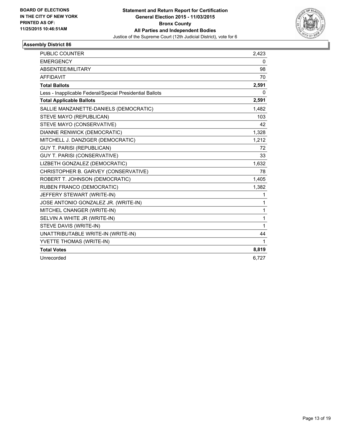

| <b>PUBLIC COUNTER</b>                                    | 2,423 |
|----------------------------------------------------------|-------|
| <b>EMERGENCY</b>                                         | 0     |
| ABSENTEE/MILITARY                                        | 98    |
| <b>AFFIDAVIT</b>                                         | 70    |
| <b>Total Ballots</b>                                     | 2,591 |
| Less - Inapplicable Federal/Special Presidential Ballots | 0     |
| <b>Total Applicable Ballots</b>                          | 2,591 |
| SALLIE MANZANETTE-DANIELS (DEMOCRATIC)                   | 1,482 |
| STEVE MAYO (REPUBLICAN)                                  | 103   |
| STEVE MAYO (CONSERVATIVE)                                | 42    |
| DIANNE RENWICK (DEMOCRATIC)                              | 1,328 |
| MITCHELL J. DANZIGER (DEMOCRATIC)                        | 1,212 |
| <b>GUY T. PARISI (REPUBLICAN)</b>                        | 72    |
| <b>GUY T. PARISI (CONSERVATIVE)</b>                      | 33    |
| LIZBETH GONZALEZ (DEMOCRATIC)                            | 1,632 |
| CHRISTOPHER B. GARVEY (CONSERVATIVE)                     | 78    |
| ROBERT T. JOHNSON (DEMOCRATIC)                           | 1,405 |
| RUBEN FRANCO (DEMOCRATIC)                                | 1,382 |
| JEFFERY STEWART (WRITE-IN)                               | 1     |
| JOSE ANTONIO GONZALEZ JR. (WRITE-IN)                     | 1     |
| MITCHEL CNANGER (WRITE-IN)                               | 1     |
| SELVIN A WHITE JR (WRITE-IN)                             | 1     |
| STEVE DAVIS (WRITE-IN)                                   | 1     |
| UNATTRIBUTABLE WRITE-IN (WRITE-IN)                       | 44    |
| YVETTE THOMAS (WRITE-IN)                                 | 1     |
| <b>Total Votes</b>                                       | 8,819 |
| Unrecorded                                               | 6,727 |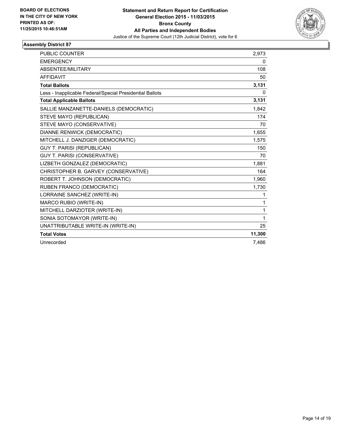

| PUBLIC COUNTER                                           | 2,973        |
|----------------------------------------------------------|--------------|
| <b>EMERGENCY</b>                                         | 0            |
| ABSENTEE/MILITARY                                        | 108          |
| <b>AFFIDAVIT</b>                                         | 50           |
| <b>Total Ballots</b>                                     | 3,131        |
| Less - Inapplicable Federal/Special Presidential Ballots | 0            |
| <b>Total Applicable Ballots</b>                          | 3,131        |
| SALLIE MANZANETTE-DANIELS (DEMOCRATIC)                   | 1,842        |
| STEVE MAYO (REPUBLICAN)                                  | 174          |
| STEVE MAYO (CONSERVATIVE)                                | 70           |
| <b>DIANNE RENWICK (DEMOCRATIC)</b>                       | 1,655        |
| MITCHELL J. DANZIGER (DEMOCRATIC)                        | 1,575        |
| <b>GUY T. PARISI (REPUBLICAN)</b>                        | 150          |
| <b>GUY T. PARISI (CONSERVATIVE)</b>                      | 70           |
| LIZBETH GONZALEZ (DEMOCRATIC)                            | 1,881        |
| CHRISTOPHER B. GARVEY (CONSERVATIVE)                     | 164          |
| ROBERT T. JOHNSON (DEMOCRATIC)                           | 1,960        |
| RUBEN FRANCO (DEMOCRATIC)                                | 1,730        |
| LORRAINE SANCHEZ (WRITE-IN)                              | 1            |
| MARCO RUBIO (WRITE-IN)                                   | 1            |
| MITCHELL DARZIOTER (WRITE-IN)                            | $\mathbf{1}$ |
| SONIA SOTOMAYOR (WRITE-IN)                               | 1            |
| UNATTRIBUTABLE WRITE-IN (WRITE-IN)                       | 25           |
| <b>Total Votes</b>                                       | 11,300       |
| Unrecorded                                               | 7.486        |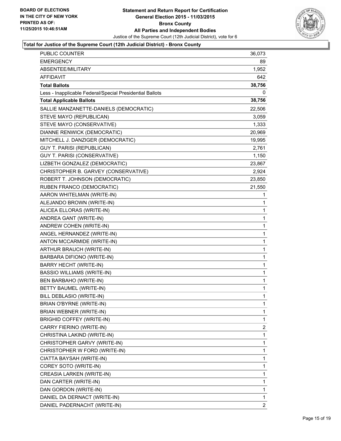

| <b>PUBLIC COUNTER</b>                                    | 36,073         |
|----------------------------------------------------------|----------------|
| <b>EMERGENCY</b>                                         | 89             |
| ABSENTEE/MILITARY                                        | 1,952          |
| AFFIDAVIT                                                | 642            |
| <b>Total Ballots</b>                                     | 38,756         |
| Less - Inapplicable Federal/Special Presidential Ballots | 0              |
| <b>Total Applicable Ballots</b>                          | 38,756         |
| SALLIE MANZANETTE-DANIELS (DEMOCRATIC)                   | 22,506         |
| STEVE MAYO (REPUBLICAN)                                  | 3,059          |
| STEVE MAYO (CONSERVATIVE)                                | 1,333          |
| DIANNE RENWICK (DEMOCRATIC)                              | 20,969         |
| MITCHELL J. DANZIGER (DEMOCRATIC)                        | 19,995         |
| <b>GUY T. PARISI (REPUBLICAN)</b>                        | 2,761          |
| GUY T. PARISI (CONSERVATIVE)                             | 1,150          |
| LIZBETH GONZALEZ (DEMOCRATIC)                            | 23,867         |
| CHRISTOPHER B. GARVEY (CONSERVATIVE)                     | 2,924          |
| ROBERT T. JOHNSON (DEMOCRATIC)                           | 23,850         |
| RUBEN FRANCO (DEMOCRATIC)                                | 21,550         |
| AARON WHITELMAN (WRITE-IN)                               | 1              |
| ALEJANDO BROWN (WRITE-IN)                                | 1              |
| ALICEA ELLORAS (WRITE-IN)                                | 1              |
| ANDREA GANT (WRITE-IN)                                   | 1              |
| ANDREW COHEN (WRITE-IN)                                  | 1              |
| ANGEL HERNANDEZ (WRITE-IN)                               | 1              |
| ANTON MCCARMIDE (WRITE-IN)                               | 1              |
| ARTHUR BRAUCH (WRITE-IN)                                 | 1              |
| BARBARA DIFIONO (WRITE-IN)                               | 1              |
| BARRY HECHT (WRITE-IN)                                   | 1              |
| <b>BASSIO WILLIAMS (WRITE-IN)</b>                        | 1              |
| BEN BARBAHO (WRITE-IN)                                   | 1              |
| BETTY BAUMEL (WRITE-IN)                                  | 1              |
| BILL DEBLASIO (WRITE-IN)                                 | 1              |
| BRIAN O'BYRNE (WRITE-IN)                                 | 1              |
| BRIAN WEBNER (WRITE-IN)                                  | 1              |
| BRIGHID COFFEY (WRITE-IN)                                | 1              |
| CARRY FIERINO (WRITE-IN)                                 | 2              |
| CHRISTINA LAKIND (WRITE-IN)                              | 1              |
| CHRISTOPHER GARVY (WRITE-IN)                             | 1              |
| CHRISTOPHER W FORD (WRITE-IN)                            | 1              |
| CIATTA BAYSAH (WRITE-IN)                                 | 1              |
| COREY SOTO (WRITE-IN)                                    | 1              |
| CREASIA LARKEN (WRITE-IN)                                | 1              |
| DAN CARTER (WRITE-IN)                                    | 1              |
| DAN GORDON (WRITE-IN)                                    | 1              |
| DANIEL DA DERNACT (WRITE-IN)                             | 1              |
| DANIEL PADERNACHT (WRITE-IN)                             | $\overline{2}$ |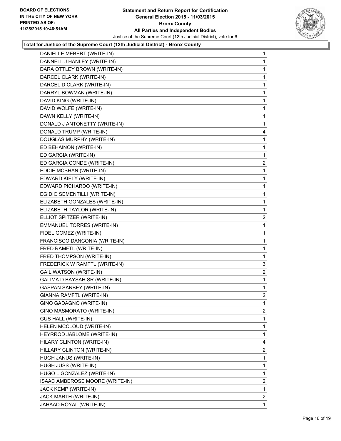

| DANIELLE MEBERT (WRITE-IN)      | $\mathbf{1}$            |
|---------------------------------|-------------------------|
| DANNELL J HANLEY (WRITE-IN)     | 1                       |
| DARA OTTLEY BROWN (WRITE-IN)    | 1                       |
| DARCEL CLARK (WRITE-IN)         | 1                       |
| DARCEL D CLARK (WRITE-IN)       | 1                       |
| DARRYL BOWMAN (WRITE-IN)        | 1                       |
| DAVID KING (WRITE-IN)           | 1                       |
| DAVID WOLFE (WRITE-IN)          | 1                       |
| DAWN KELLY (WRITE-IN)           | 1                       |
| DONALD J ANTONETTY (WRITE-IN)   | 1                       |
| DONALD TRUMP (WRITE-IN)         | 4                       |
| DOUGLAS MURPHY (WRITE-IN)       | 1                       |
| ED BEHAINON (WRITE-IN)          | 1                       |
| ED GARCIA (WRITE-IN)            | 1                       |
| ED GARCIA CONDE (WRITE-IN)      | $\overline{\mathbf{c}}$ |
| EDDIE MCSHAN (WRITE-IN)         | 1                       |
| EDWARD KIELY (WRITE-IN)         | 1                       |
| EDWARD PICHARDO (WRITE-IN)      | 1                       |
| EGIDIO SEMENTILLI (WRITE-IN)    | 1                       |
| ELIZABETH GONZALES (WRITE-IN)   | 1                       |
| ELIZABETH TAYLOR (WRITE-IN)     | 1                       |
| ELLIOT SPITZER (WRITE-IN)       | $\overline{2}$          |
| EMMANUEL TORRES (WRITE-IN)      | 1                       |
| FIDEL GOMEZ (WRITE-IN)          | 1                       |
| FRANCISCO DANCONIA (WRITE-IN)   | 1                       |
| FRED RAMFTL (WRITE-IN)          | 1                       |
| FRED THOMPSON (WRITE-IN)        | 1                       |
| FREDERICK W RAMFTL (WRITE-IN)   | 3                       |
| <b>GAIL WATSON (WRITE-IN)</b>   | 2                       |
| GALIMA D BAYSAH SR (WRITE-IN)   | 1                       |
| <b>GASPAN SANBEY (WRITE-IN)</b> | 1                       |
| GIANNA RAMFTL (WRITE-IN)        | 2                       |
| GINO GADAGNO (WRITE-IN)         | 1                       |
| GINO MASMORATO (WRITE-IN)       | $\overline{2}$          |
| <b>GUS HALL (WRITE-IN)</b>      | 1                       |
| HELEN MCCLOUD (WRITE-IN)        | 1                       |
| HEYRROD JABLOME (WRITE-IN)      | 1                       |
| HILARY CLINTON (WRITE-IN)       | 4                       |
| HILLARY CLINTON (WRITE-IN)      | 2                       |
| HUGH JANUS (WRITE-IN)           | 1                       |
| HUGH JUSS (WRITE-IN)            | 1                       |
| HUGO L GONZALEZ (WRITE-IN)      | 1                       |
| ISAAC AMBEROSE MOORE (WRITE-IN) | 2                       |
| JACK KEMP (WRITE-IN)            | 1                       |
| JACK MARTH (WRITE-IN)           | 2                       |
| JAHAAD ROYAL (WRITE-IN)         | $\mathbf{1}$            |
|                                 |                         |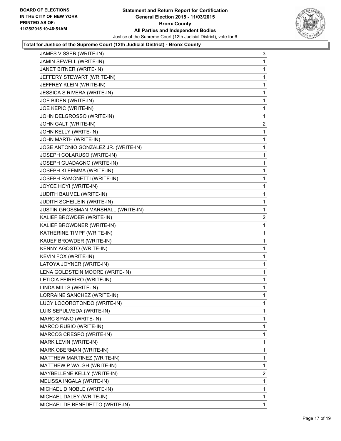

| JAMES VISSER (WRITE-IN)                    | 3              |
|--------------------------------------------|----------------|
| JAMIN SEWELL (WRITE-IN)                    | 1              |
| JANET BITNER (WRITE-IN)                    | 1              |
| JEFFERY STEWART (WRITE-IN)                 | 1              |
| JEFFREY KLEIN (WRITE-IN)                   | 1              |
| <b>JESSICA S RIVERA (WRITE-IN)</b>         | 1              |
| JOE BIDEN (WRITE-IN)                       | 1              |
| JOE KEPIC (WRITE-IN)                       | 1              |
| JOHN DELGROSSO (WRITE-IN)                  | 1              |
| JOHN GALT (WRITE-IN)                       | 2              |
| JOHN KELLY (WRITE-IN)                      | 1              |
| JOHN MARTH (WRITE-IN)                      | 1              |
| JOSE ANTONIO GONZALEZ JR. (WRITE-IN)       | 1              |
| JOSEPH COLARUSO (WRITE-IN)                 | 1              |
| JOSEPH GUADAGNO (WRITE-IN)                 | 1              |
| JOSEPH KLEEMMA (WRITE-IN)                  | 1              |
| JOSEPH RAMONETTI (WRITE-IN)                | 1              |
| JOYCE HOYI (WRITE-IN)                      | 1              |
| JUDITH BAUMEL (WRITE-IN)                   | 1              |
| JUDITH SCHEILEIN (WRITE-IN)                | 1              |
| <b>JUSTIN GROSSMAN MARSHALL (WRITE-IN)</b> | 1              |
| KALIEF BROWDER (WRITE-IN)                  | $\mathbf{2}$   |
| KALIEF BROWDNER (WRITE-IN)                 | 1              |
| KATHERINE TIMPF (WRITE-IN)                 | 1              |
| KAUEF BROWDER (WRITE-IN)                   | 1              |
| KENNY AGOSTO (WRITE-IN)                    | 1              |
| KEVIN FOX (WRITE-IN)                       | 1              |
| LATOYA JOYNER (WRITE-IN)                   | 1              |
| LENA GOLDSTEIN MOORE (WRITE-IN)            | 1              |
| LETICIA FEIREIRO (WRITE-IN)                | 1              |
| LINDA MILLS (WRITE-IN)                     | 1              |
| LORRAINE SANCHEZ (WRITE-IN)                | 1              |
| LUCY LOCOROTONDO (WRITE-IN)                | 1              |
| LUIS SEPULVEDA (WRITE-IN)                  | 1              |
| MARC SPANO (WRITE-IN)                      | 1              |
| MARCO RUBIO (WRITE-IN)                     | 1              |
| MARCOS CRESPO (WRITE-IN)                   | 1              |
| MARK LEVIN (WRITE-IN)                      | 1              |
| MARK OBERMAN (WRITE-IN)                    | 1              |
| MATTHEW MARTINEZ (WRITE-IN)                | 1              |
| MATTHEW P WALSH (WRITE-IN)                 | 1              |
| MAYBELLENE KELLY (WRITE-IN)                | $\overline{2}$ |
| MELISSA INGALA (WRITE-IN)                  | 1              |
| MICHAEL D NOBLE (WRITE-IN)                 | 1              |
| MICHAEL DALEY (WRITE-IN)                   | 1              |
| MICHAEL DE BENEDETTO (WRITE-IN)            | $\mathbf 1$    |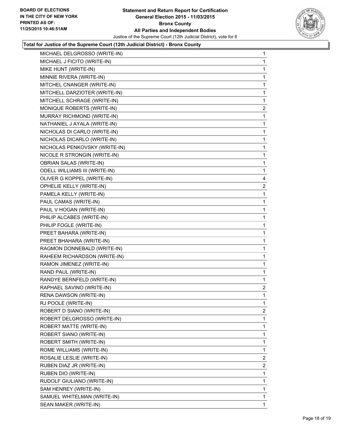

| MICHAEL DELGROSSO (WRITE-IN)         | $\mathbf 1$             |
|--------------------------------------|-------------------------|
| MICHAEL J FICITO (WRITE-IN)          | 1                       |
| MIKE HUNT (WRITE-IN)                 | 1                       |
| MINNIE RIVERA (WRITE-IN)             | 1                       |
| MITCHEL CNANGER (WRITE-IN)           | 1                       |
| MITCHELL DARZIOTER (WRITE-IN)        | 1                       |
| MITCHELL SCHRAGE (WRITE-IN)          | 1                       |
| MONIQUE ROBERTS (WRITE-IN)           | $\overline{\mathbf{c}}$ |
| MURRAY RICHMOND (WRITE-IN)           | 1                       |
| NATHANIEL J AYALA (WRITE-IN)         | 1                       |
| NICHOLAS DI CARLO (WRITE-IN)         | 1                       |
| NICHOLAS DICARLO (WRITE-IN)          | 1                       |
| NICHOLAS PENKOVSKY (WRITE-IN)        | 1                       |
| NICOLE R STRONGIN (WRITE-IN)         | $\mathbf 1$             |
| <b>OBRIAN SALAS (WRITE-IN)</b>       | 1                       |
| <b>ODELL WILLIAMS III (WRITE-IN)</b> | 1                       |
| OLIVER G KOPPEL (WRITE-IN)           | 4                       |
| OPHELIE KELLY (WRITE-IN)             | 2                       |
| PAMELA KELLY (WRITE-IN)              | 1                       |
| PAUL CAMAS (WRITE-IN)                | $\mathbf 1$             |
| PAUL V HOGAN (WRITE-IN)              | 1                       |
| PHILIP ALCABES (WRITE-IN)            | 1                       |
| PHILIP FOGLE (WRITE-IN)              | 1                       |
| PREET BAHARA (WRITE-IN)              | 1                       |
| PREET BHAHARA (WRITE-IN)             | 1                       |
| RAGMON DONNEBALD (WRITE-IN)          | $\mathbf 1$             |
| RAHEEM RICHARDSON (WRITE-IN)         | 1                       |
| RAMON JIMENEZ (WRITE-IN)             | 1                       |
| RAND PAUL (WRITE-IN)                 | 1                       |
| RANDYE BERNFELD (WRITE-IN)           | 1                       |
| RAPHAEL SAVINO (WRITE-IN)            | $\mathbf{2}$            |
| RENA DAWSON (WRITE-IN)               | $\mathbf 1$             |
| RJ POOLE (WRITE-IN)                  | 1                       |
| ROBERT D SIANO (WRITE-IN)            | $\overline{2}$          |
| ROBERT DELGROSSO (WRITE-IN)          | 1                       |
| ROBERT MATTE (WRITE-IN)              | 1                       |
| ROBERT SIANO (WRITE-IN)              | 1                       |
| ROBERT SMITH (WRITE-IN)              | 1                       |
| ROME WILLIAMS (WRITE-IN)             | 1                       |
| ROSALIE LESLIE (WRITE-IN)            | $\overline{2}$          |
| RUBEN DIAZ JR (WRITE-IN)             | 2                       |
| RUBEN DIO (WRITE-IN)                 | 1                       |
| RUDOLF GIULIANO (WRITE-IN)           | 1                       |
| SAM HENREY (WRITE-IN)                | 1                       |
| SAMUEL WHITELMAN (WRITE-IN)          | 1                       |
| SEAN MAKER (WRITE-IN)                | 1                       |
|                                      |                         |